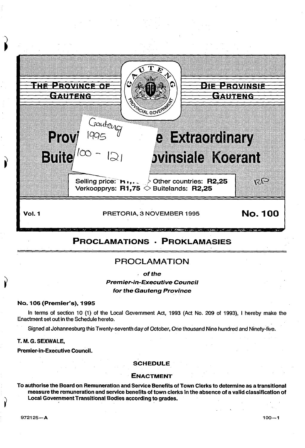

# PROCLAMATIONS • PROKLAMASIES

# PROCLAMATION

 $.$  of the

Premier-in-Executive Council

# for the Gauteng Province

# No.106 (Premier's), 1995

In terms of section 10 (1) of the Local Government Act, 1993 (Act No. 209 of 1993), I hereby make the Enactment set out in the Schedule hereto.

Signed at Johannesburg this Twenty-seventh day of October, One thousand Nine hundred and Ninety-five.

# T. M.G. SEXWALE,

Premier-in-Executive Council.

# **SCHEDULE**

# ENACTMENT

To authorise the Board on Remuneration and Service Benefits of Town Clerks to determine as a transitional measure the remuneration and service benefits of town clerks in the absence of a valid classification of Local Government Transitional Bodies according to grades.

 $972125 - A$  100 $-1$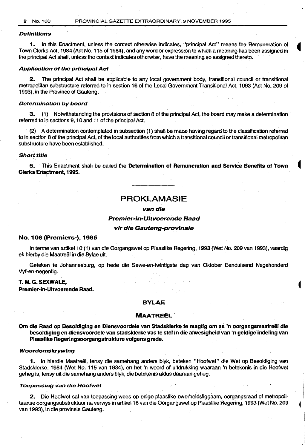# **Definitions**

1. In this Enactment, unless the context otherwise indicates, "principal Act" means the Remuneration of • Town Clerks Act, 1984 (Act No. 115 of 1984), and any word or expression to which a meaning has been assigned in <sup>~</sup> the principal Act shall, unless the context indicates otherwise, have the meaning so assigned thereto.

#### Application of the principal Act

2. The principal Act shall be applicable to any local government body, transitional council or transitional metropolitan substructure referred to in section 16 of the Local Government Transitional Act, 1993 (Act No. 209 of 1993), in the Province of Gauteng.

## Determination by board

3. (1) Notwithstanding the provisions of section 8 of the principal Act, the board may make a determination referred to in sections 9, 1 0 and 11 of the principal Act.

(2) A determination contemplated in subsection (1) shall be made having regard to the classification referred to in section 8 of the principal Act, of the local authorities from which a transitional council or transitional metropolitan substructure have been established.

## Short title

5. This Enactment shall be called the Determination of Remuneration and Service Benefits of Town 4 Clerks Eriactment, 1995.

# PROKLAMASIE

# van die

#### Premier-in-Uitvoerende Raad

#### vir die Gauteng-provinsie

#### No.106 {Premiers-), 1995

In terme van artikel 10 (1) van die Oorgangswet op Plaaslike Regering, 1993 (Wet No. 209 van 1993), vaardig ek hierby die Maatreël in die Bylae uit.

Geteken te Johannesburg, op hede 'die Sewe-en-twintigste dag van Oktober Eenduisend Negehonderd Vyf-en-negentig.

# T. M.G. SEXWALE,

# Premier-in-Uitvoerende Raad.

# BYLAE

# **MAATREËL**

Om die Raad op Besoldiging en Diensvoordele van Stadsklerke te magtig om as 'n oorgangsmaatreël die besoldiging en diensvoordele van stadsklerke vas te stel in die afwesigheid van 'n geldige indeling van Plaaslike Regeringsoorgangstrukture volgens grade.

#### Woordomskrywing

1. In hierdie Maatreël, tensy die samehang anders blyk, beteken "Hoofwet" die Wet op Besoldiging van Stadsklerke, 1984 (Wet No. 115 van 1984), en het 'n woord of uitdrukking waaraan 'n betekenis in die Hoofwet geheg is, tensy uit die samehang anders blyk, die betekenis aldus daaraan geheg.

#### Toepassing van die Hoofwet

2. Die Hoofwet sal van toepassing wees op enige plaaslike owerheidsliggaam, oorgangsraad of metropolitaanse oorgangsubstruktuur na verwys in artikel 16 van die Oorgangswet op Plaaslike Regering, 1993 (Wet No. 209 van 1993), in die provinsie Gauteng.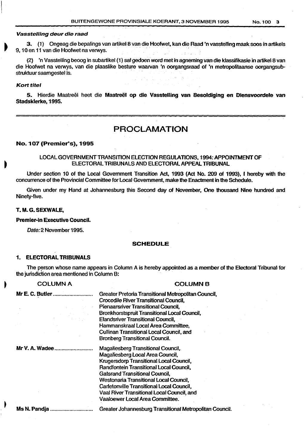## Vasstelling deur die raad

3. (1) Ongeag die bepalings van artikel 8 van die Hoofwet, kan die Raad 'n vasstelling maak soos in artikels 9, 10 en 11 van die Hoofwet na verwys.

(2) 'n Vasstelling beoog in subartikel (1) sal gedoen word met in agneming van die klassifikasie in artikel8 van die Hoofwet na verwys, van die plaaslike besture waarvan 'n oorgangsraad of 'n metropolitaanse oorgangsubstruktuur saamgestel is.

#### **Kort titel**

5. Hierdie Maatreël heet die Maatreël op die Vasstelling van Besoldiging en Diensvoordele van Stadsklerke, 1995.

# PROCLAMATION

#### No.107 (Premier's), 1995

# LOCAL GOVERNMENT TRANSITION ELECTION REGULATIONS, 1994: APPOINTMENT OF ELECTORAL TRIBUNALS AND ELECTORAL APPEAL TRIBUNAL

Under section 10 of the Local Government Transition Act, 1993 (Act No. 209 of 1993), I hereby with the concurrence of the Provincial Committee for Local Government, make the Enactment in the Schedule.

Given under my Hand at Johannesburg this Second day of November, One thousand Nine hundred and Ninety-five.

## T. M.G. SEXWALE,

#### Premier-in Executive Council.

Date: 2 November 1995.

## SCHEDULE

## 1. ELECTORAL TRIBUNALS

The person whose name appears in Column A is hereby appointed as a member of the Electoral Tribunal for the jurisdiction area mentioned in Column B:

#### COLUMNA COLUMNA

| Mr E. C. Butler | Greater Pretoria Transitional Metropolitan Council,<br>Crocodile River Transitional Council.<br><b>Pienaarsriver Transitional Council.</b><br><b>Bronkhorstspruit Transitional Local Council,</b><br>Elandsriver Transitional Council,<br>Hammanskraal Local Area Committee,<br>Cullinan Transitional Local Council, and<br><b>Bronberg Transitional Council.</b>                    |
|-----------------|--------------------------------------------------------------------------------------------------------------------------------------------------------------------------------------------------------------------------------------------------------------------------------------------------------------------------------------------------------------------------------------|
| Mr V.A. Wadee   | Magaliesberg Transitional Council,<br>Magaliesberg Local Area Council,<br><b>Krugersdorp Transitional Local Council,</b><br>Randfontein Transitional Local Council,<br><b>Gatsrand Transitional Council.</b><br>Westonaria Transitional Local Council,<br>Carletonville Transitional Local Council,<br>Vaal River Transitional Local Council, and<br>Vaaloewer Local Area Committee. |
| Ms N. Pandja    | Greater Johannesburg Transitional Metropolitan Council.                                                                                                                                                                                                                                                                                                                              |